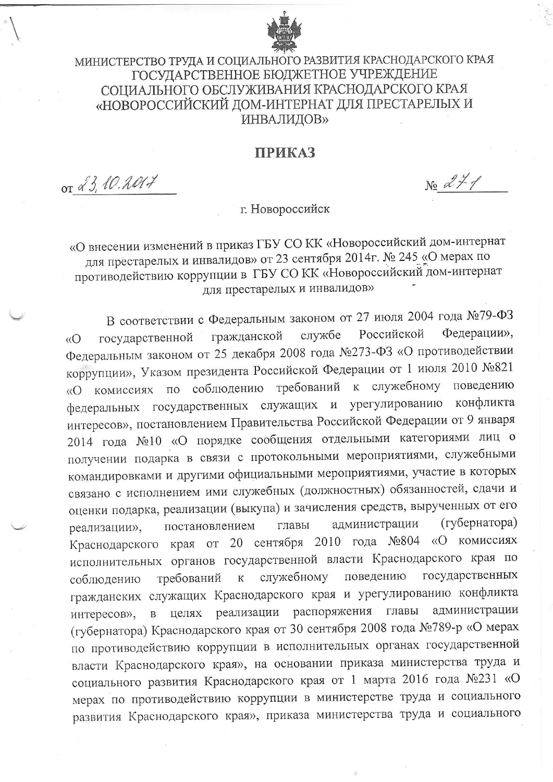

## МИНИСТЕРСТВО ТРУДА И СОЦИАЛЬНОГО РАЗВИТИЯ КРАСНОДАРСКОГО КРАЯ ГОСУДАРСТВЕННОЕ БЮДЖЕТНОЕ УЧРЕЖДЕНИЕ СОПИАЛЬНОГО ОБСЛУЖИВАНИЯ КРАСНОДАРСКОГО КРАЯ «НОВОРОССИЙСКИЙ ДОМ-ИНТЕРНАТ ДЛЯ ПРЕСТАРЕЛЫХ И **ИНВАЛИДОВ»**

## **ПРИКАЗ**

or & 3, 10.2017

 $N_2$   $27/$ 

г. Новороссийск

«О внесении изменений в приказ ГБУ СО КК «Новороссийский дом-интернат для престарелых и инвалидов» от 23 сентября 2014г. № 245 «О мерах по противодействию коррупции в ГБУ СО КК «Новороссийский дом-интернат для престарелых и инвалидов»

В соответствии с Федеральным законом от 27 июля 2004 года №79-ФЗ Федерации», службе Российской гражданской государственной  $\langle \langle$ Федеральным законом от 25 декабря 2008 года №273-ФЗ «О противодействии коррупции», Указом президента Российской Федерации от 1 июля 2010 №821 «О комиссиях по соблюдению требований к служебному поведению федеральных государственных служащих и урегулированию конфликта интересов», постановлением Правительства Российской Федерации от 9 января 2014 года №10 «О порядке сообщения отдельными категориями лиц о получении подарка в связи с протокольными мероприятиями, служебными командировками и другими официальными мероприятиями, участие в которых связано с исполнением ими служебных (должностных) обязанностей, сдачи и оценки подарка, реализации (выкупа) и зачисления средств, вырученных от его (губернатора) администрации главы постановлением реализации», Краснодарского края от 20 сентября 2010 года №804 «О комиссиях исполнительных органов государственной власти Краснодарского края по поведению государственных служебному требований  $K$ соблюдению гражданских служащих Краснодарского края и урегулированию конфликта целях реализации распоряжения главы администрации  $\, {\bf B}$ интересов», (губернатора) Краснодарского края от 30 сентября 2008 года №789-р «О мерах по противодействию коррупции в исполнительных органах государственной власти Краснодарского края», на основании приказа министерства труда и социального развития Краснодарского края от 1 марта 2016 года №231 «О мерах по противодействию коррупции в министерстве труда и социального развития Краснодарского края», приказа министерства труда и социального